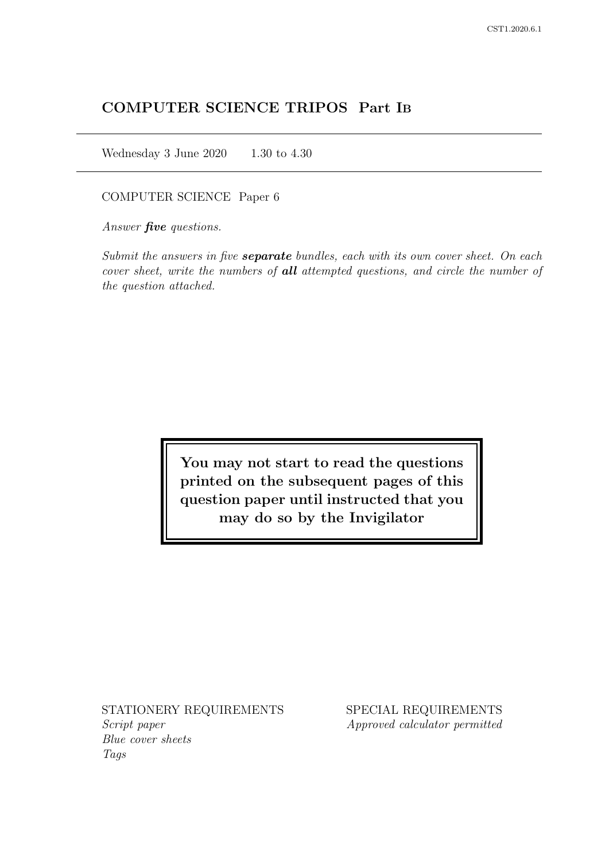# COMPUTER SCIENCE TRIPOS Part IB

Wednesday 3 June 2020 1.30 to 4.30

COMPUTER SCIENCE Paper 6

Answer *five* questions.

Submit the answers in five **separate** bundles, each with its own cover sheet. On each cover sheet, write the numbers of **all** attempted questions, and circle the number of the question attached.

> You may not start to read the questions printed on the subsequent pages of this question paper until instructed that you may do so by the Invigilator

STATIONERY REQUIREMENTS Script paper Blue cover sheets

Tags

SPECIAL REQUIREMENTS Approved calculator permitted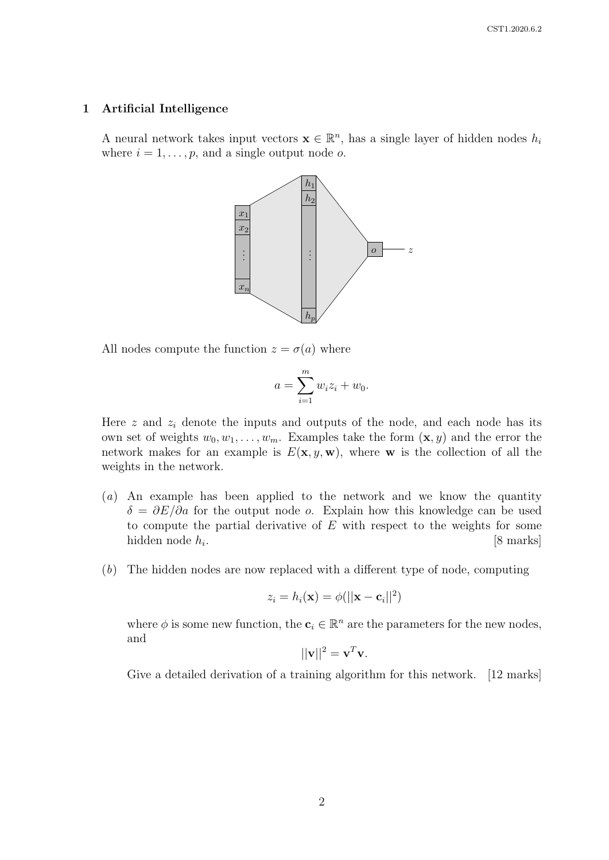#### 1 Artificial Intelligence

A neural network takes input vectors  $\mathbf{x} \in \mathbb{R}^n$ , has a single layer of hidden nodes  $h_i$ where  $i = 1, \ldots, p$ , and a single output node o.



All nodes compute the function  $z = \sigma(a)$  where

$$
a = \sum_{i=1}^m w_i z_i + w_0.
$$

Here  $z$  and  $z_i$  denote the inputs and outputs of the node, and each node has its own set of weights  $w_0, w_1, \ldots, w_m$ . Examples take the form  $(\mathbf{x}, y)$  and the error the network makes for an example is  $E(\mathbf{x}, y, \mathbf{w})$ , where **w** is the collection of all the weights in the network.

- (a) An example has been applied to the network and we know the quantity  $\delta = \partial E/\partial a$  for the output node *o*. Explain how this knowledge can be used to compute the partial derivative of  $E$  with respect to the weights for some hidden node  $h_i$ . . [8 marks]
- (b) The hidden nodes are now replaced with a different type of node, computing

$$
z_i = h_i(\mathbf{x}) = \phi(||\mathbf{x} - \mathbf{c}_i||^2)
$$

where  $\phi$  is some new function, the  $\mathbf{c}_i \in \mathbb{R}^n$  are the parameters for the new nodes, and

$$
||\mathbf{v}||^2 = \mathbf{v}^T \mathbf{v}.
$$

Give a detailed derivation of a training algorithm for this network. [12 marks]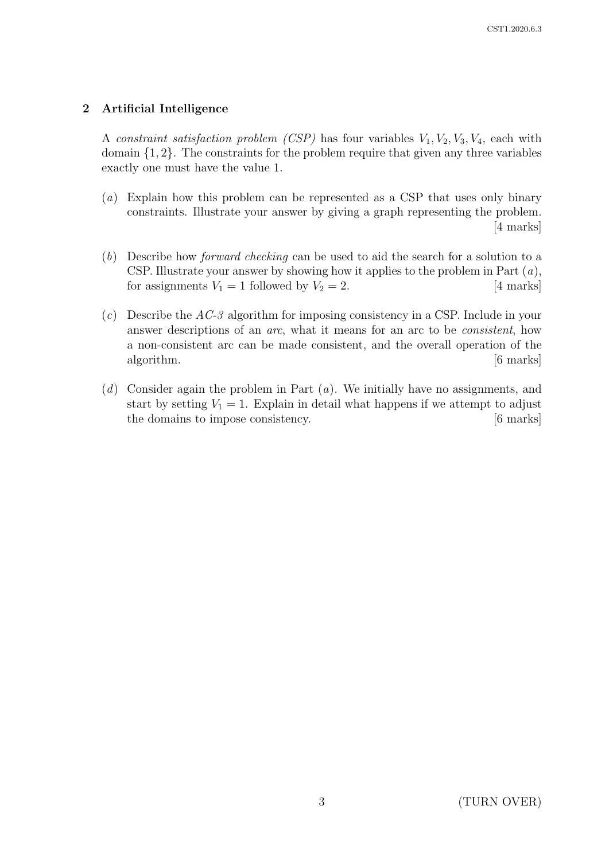# 2 Artificial Intelligence

A constraint satisfaction problem (CSP) has four variables  $V_1, V_2, V_3, V_4$ , each with domain {1, 2}. The constraints for the problem require that given any three variables exactly one must have the value 1.

- (a) Explain how this problem can be represented as a CSP that uses only binary constraints. Illustrate your answer by giving a graph representing the problem. [4 marks]
- (b) Describe how forward checking can be used to aid the search for a solution to a CSP. Illustrate your answer by showing how it applies to the problem in Part  $(a)$ , for assignments  $V_1 = 1$  followed by  $V_2 = 2$ . [4 marks]
- $(c)$  Describe the AC-3 algorithm for imposing consistency in a CSP. Include in your answer descriptions of an arc, what it means for an arc to be consistent, how a non-consistent arc can be made consistent, and the overall operation of the algorithm.  $\boxed{6 \text{ marks}}$
- (d) Consider again the problem in Part  $(a)$ . We initially have no assignments, and start by setting  $V_1 = 1$ . Explain in detail what happens if we attempt to adjust the domains to impose consistency. [6 marks]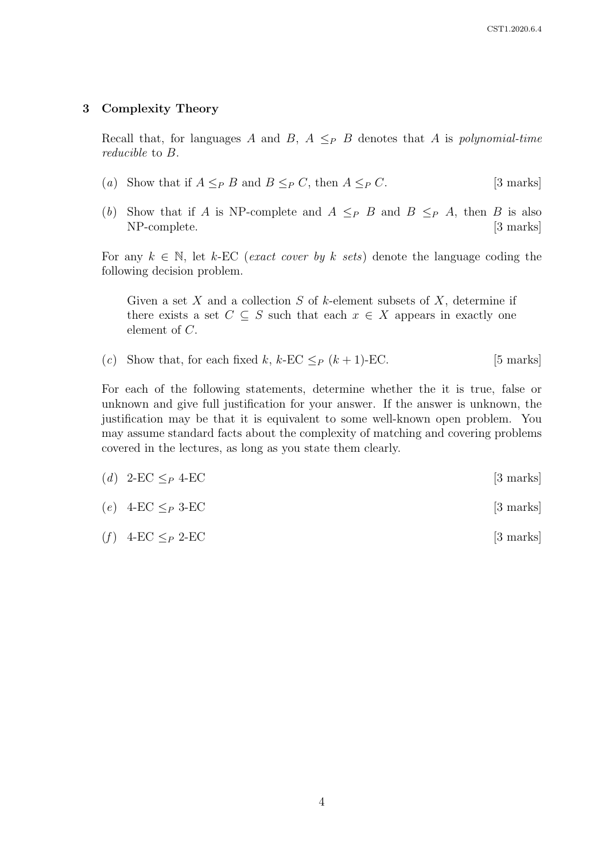### 3 Complexity Theory

Recall that, for languages A and B,  $A \leq_{P} B$  denotes that A is polynomial-time reducible to B.

- (a) Show that if  $A \leq_{P} B$  and  $B \leq_{P} C$ , then  $A \leq_{P} C$ . [3 marks]
- (b) Show that if A is NP-complete and  $A \leq_P B$  and  $B \leq_P A$ , then B is also NP-complete. [3 marks]

For any  $k \in \mathbb{N}$ , let k-EC (exact cover by k sets) denote the language coding the following decision problem.

Given a set  $X$  and a collection  $S$  of  $k$ -element subsets of  $X$ , determine if there exists a set  $C \subseteq S$  such that each  $x \in X$  appears in exactly one element of C.

(c) Show that, for each fixed k, k-EC  $\leq_P (k+1)$ -EC. [5 marks]

For each of the following statements, determine whether the it is true, false or unknown and give full justification for your answer. If the answer is unknown, the justification may be that it is equivalent to some well-known open problem. You may assume standard facts about the complexity of matching and covering problems covered in the lectures, as long as you state them clearly.

| (d) 2-EC $\leq_P 4$ -EC | $[3 \text{ marks}]$ |
|-------------------------|---------------------|
|-------------------------|---------------------|

- (e)  $4-\text{EC} \leq_P 3-\text{EC}$  [3 marks]
- (f)  $4-\text{EC} \leq_{P} 2-\text{EC}$  [3 marks]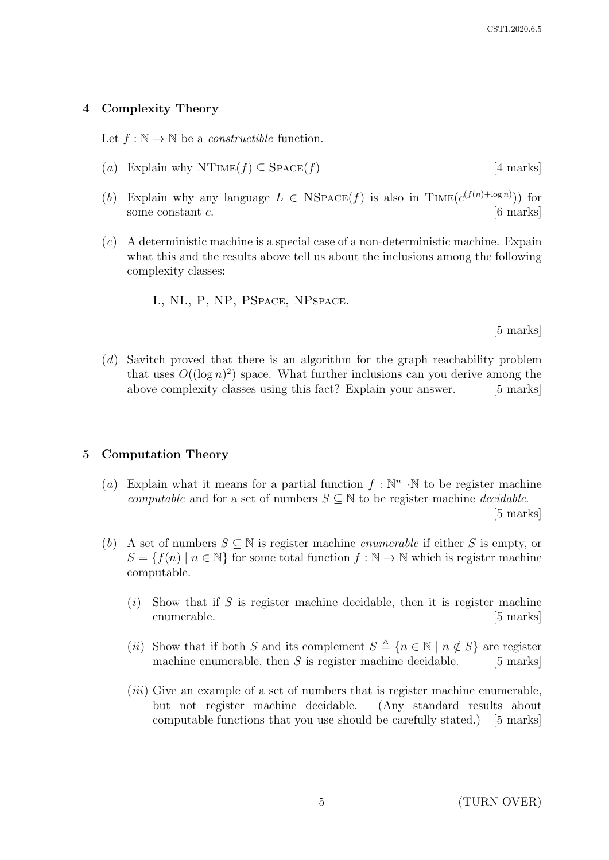# 4 Complexity Theory

Let  $f : \mathbb{N} \to \mathbb{N}$  be a *constructible* function.

- (a) Explain why NTIME(f)  $\subseteq$  SPACE(f) [4 marks]
- (b) Explain why any language  $L \in NSPACE(f)$  is also in TIME $(c^{(f(n)+\log n)})$  for some constant  $c$ . [6 marks]
- (c) A deterministic machine is a special case of a non-deterministic machine. Expain what this and the results above tell us about the inclusions among the following complexity classes:
	- L, NL, P, NP, PSpace, NPspace.

[5 marks]

(d) Savitch proved that there is an algorithm for the graph reachability problem that uses  $O((\log n)^2)$  space. What further inclusions can you derive among the above complexity classes using this fact? Explain your answer. [5 marks]

# 5 Computation Theory

- (a) Explain what it means for a partial function  $f : \mathbb{N}^n \to \mathbb{N}$  to be register machine computable and for a set of numbers  $S \subseteq \mathbb{N}$  to be register machine *decidable*. [5 marks]
- (b) A set of numbers  $S \subseteq \mathbb{N}$  is register machine *enumerable* if either S is empty, or  $S = \{f(n) \mid n \in \mathbb{N}\}\$ for some total function  $f : \mathbb{N} \to \mathbb{N}$  which is register machine computable.
	- $(i)$  Show that if S is register machine decidable, then it is register machine enumerable. [5 marks]
	- (ii) Show that if both S and its complement  $\overline{S} \triangleq \{n \in \mathbb{N} \mid n \notin S\}$  are register machine enumerable, then  $S$  is register machine decidable. [5 marks]
	- $(iii)$  Give an example of a set of numbers that is register machine enumerable, but not register machine decidable. (Any standard results about computable functions that you use should be carefully stated.) [5 marks]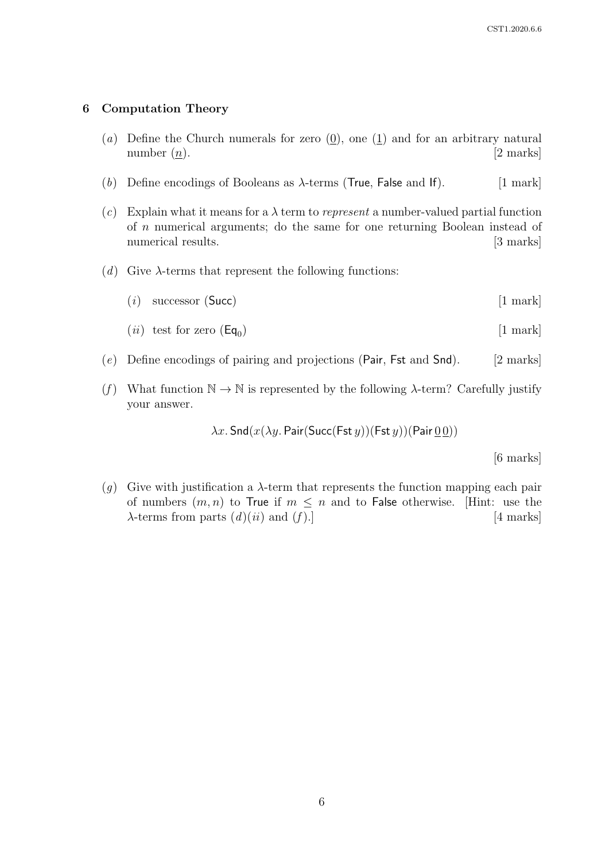#### 6 Computation Theory

- (a) Define the Church numerals for zero  $(0)$ , one  $(1)$  and for an arbitrary natural number  $(n)$ . [2 marks]
- (b) Define encodings of Booleans as  $\lambda$ -terms (True, False and If). [1 mark]
- (c) Explain what it means for a  $\lambda$  term to *represent* a number-valued partial function of n numerical arguments; do the same for one returning Boolean instead of numerical results. [3 marks]
- (d) Give  $\lambda$ -terms that represent the following functions:
	- $(i)$  successor (Succ) [1 mark]
	- (*ii*) test for zero ( $Eq_0$ ) ) [1 mark]
- (e) Define encodings of pairing and projections (Pair, Fst and Snd).  $[2 \text{ marks}]$
- (f) What function  $\mathbb{N} \to \mathbb{N}$  is represented by the following  $\lambda$ -term? Carefully justify your answer.

 $\lambda x$ . Snd $(x(\lambda y)$ . Pair(Succ(Fst y))(Fst y))(Pair  $\underline{00})$ )

[6 marks]

(g) Give with justification a  $\lambda$ -term that represents the function mapping each pair of numbers  $(m, n)$  to True if  $m \leq n$  and to False otherwise. [Hint: use the  $\lambda$ -terms from parts  $(d)(ii)$  and  $(f)$ .] [4 marks]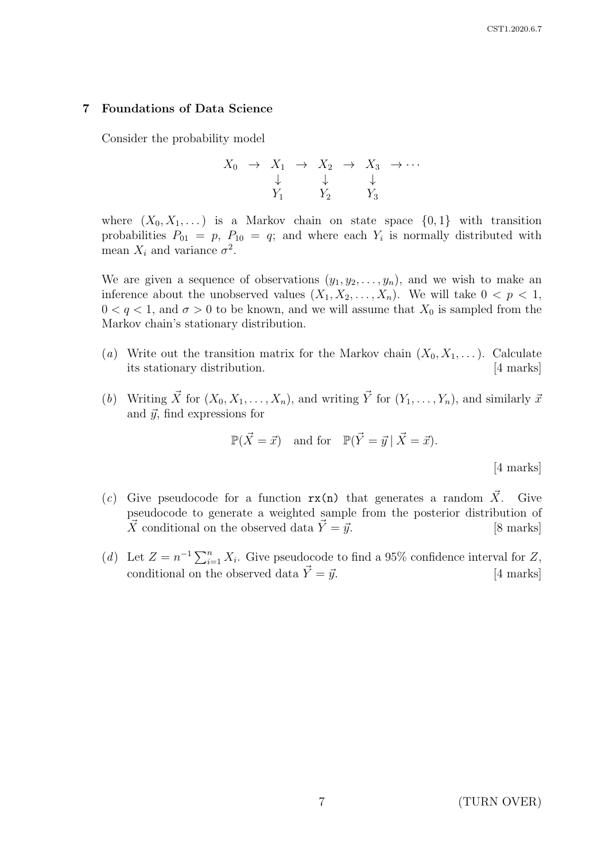#### 7 Foundations of Data Science

Consider the probability model

$$
X_0 \rightarrow X_1 \rightarrow X_2 \rightarrow X_3 \rightarrow \cdots
$$
  
\n
$$
\downarrow \qquad \qquad \downarrow \qquad \downarrow
$$
  
\n
$$
Y_1 \qquad Y_2 \qquad Y_3
$$

where  $(X_0, X_1, ...)$  is a Markov chain on state space  $\{0, 1\}$  with transition probabilities  $P_{01} = p$ ,  $P_{10} = q$ ; and where each  $Y_i$  is normally distributed with mean  $X_i$  and variance  $\sigma^2$ .

We are given a sequence of observations  $(y_1, y_2, \ldots, y_n)$ , and we wish to make an inference about the unobserved values  $(X_1, X_2, \ldots, X_n)$ . We will take  $0 \lt p \lt 1$ ,  $0 < q < 1$ , and  $\sigma > 0$  to be known, and we will assume that  $X_0$  is sampled from the Markov chain's stationary distribution.

- (a) Write out the transition matrix for the Markov chain  $(X_0, X_1, \ldots)$ . Calculate its stationary distribution. [4 marks]
- (b) Writing  $\vec{X}$  for  $(X_0, X_1, \ldots, X_n)$ , and writing  $\vec{Y}$  for  $(Y_1, \ldots, Y_n)$ , and similarly  $\vec{x}$ and  $\vec{y}$ , find expressions for

$$
\mathbb{P}(\vec{X} = \vec{x}) \quad \text{and for} \quad \mathbb{P}(\vec{Y} = \vec{y} \mid \vec{X} = \vec{x}).
$$

[4 marks]

- (c) Give pseudocode for a function  $rx(n)$  that generates a random  $\vec{X}$ . Give pseudocode to generate a weighted sample from the posterior distribution of  $\vec{X}$  conditional on the observed data  $\vec{Y} = \vec{y}$ . [8 marks]
- (d) Let  $Z = n^{-1} \sum_{i=1}^{n} X_i$ . Give pseudocode to find a 95% confidence interval for Z, conditional on the observed data  $\vec{Y} = \vec{y}$ . [4 marks]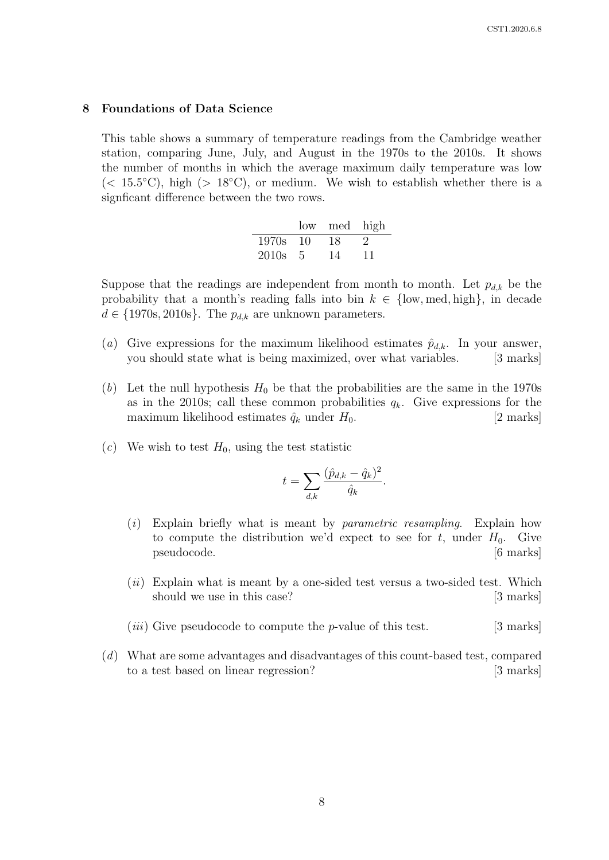#### 8 Foundations of Data Science

This table shows a summary of temperature readings from the Cambridge weather station, comparing June, July, and August in the 1970s to the 2010s. It shows the number of months in which the average maximum daily temperature was low  $(< 15.5\degree C)$ , high  $(> 18\degree C)$ , or medium. We wish to establish whether there is a signficant difference between the two rows.

|       |     | low med | high |
|-------|-----|---------|------|
| 1970s | -10 | 18      |      |
| 2010s | -5. | 14      | 11   |

Suppose that the readings are independent from month to month. Let  $p_{d,k}$  be the probability that a month's reading falls into bin  $k \in \{low, med, high\}$ , in decade  $d \in \{1970s, 2010s\}$ . The  $p_{d,k}$  are unknown parameters.

- (a) Give expressions for the maximum likelihood estimates  $\hat{p}_{d,k}$ . In your answer, you should state what is being maximized, over what variables. [3 marks]
- (b) Let the null hypothesis  $H_0$  be that the probabilities are the same in the 1970s as in the 2010s; call these common probabilities  $q_k$ . Give expressions for the maximum likelihood estimates  $\hat{q}_k$  under  $H_0$ . [2 marks]
- (c) We wish to test  $H_0$ , using the test statistic

$$
t = \sum_{d,k} \frac{(\hat{p}_{d,k} - \hat{q}_k)^2}{\hat{q}_k}.
$$

- $(i)$  Explain briefly what is meant by *parametric resampling*. Explain how to compute the distribution we'd expect to see for t, under  $H_0$ . Give pseudocode. [6 marks]
- $(ii)$  Explain what is meant by a one-sided test versus a two-sided test. Which should we use in this case? [3 marks]
- (*iii*) Give pseudocode to compute the *p*-value of this test. [3 marks]
- (d) What are some advantages and disadvantages of this count-based test, compared to a test based on linear regression? [3 marks]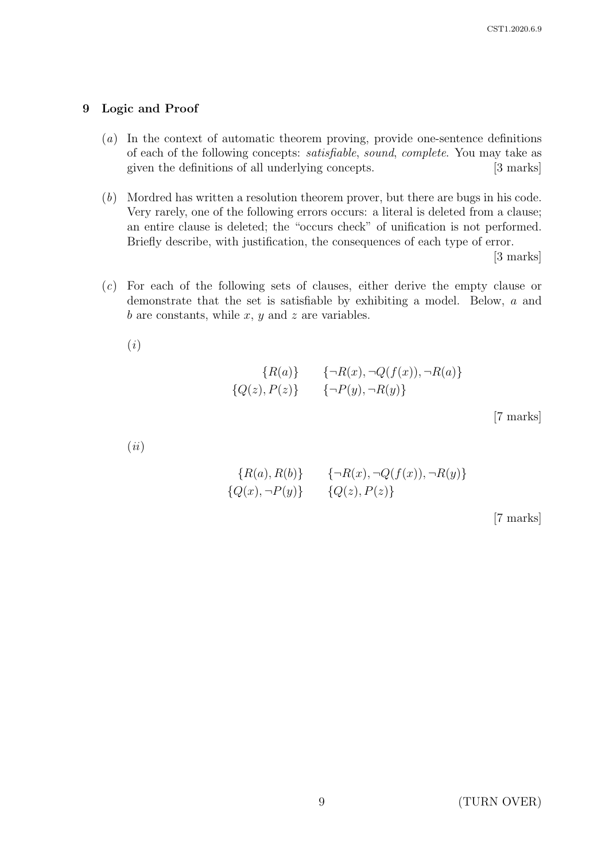# 9 Logic and Proof

- (a) In the context of automatic theorem proving, provide one-sentence definitions of each of the following concepts: satisfiable, sound, complete. You may take as given the definitions of all underlying concepts. [3 marks]
- (b) Mordred has written a resolution theorem prover, but there are bugs in his code. Very rarely, one of the following errors occurs: a literal is deleted from a clause; an entire clause is deleted; the "occurs check" of unification is not performed. Briefly describe, with justification, the consequences of each type of error.

[3 marks]

(c) For each of the following sets of clauses, either derive the empty clause or demonstrate that the set is satisfiable by exhibiting a model. Below, a and b are constants, while  $x, y$  and  $z$  are variables.

(i)

$$
{R(a)} \qquad {\neg R(x), \neg Q(f(x)), \neg R(a)} \n{Q(z), P(z)} \qquad {\neg P(y), \neg R(y)}
$$

[7 marks]

(ii)

$$
{R(a), R(b)} \qquad \{ \neg R(x), \neg Q(f(x)), \neg R(y) \}
$$
  

$$
{Q(x), \neg P(y)} \qquad \{ Q(z), P(z) \}
$$

[7 marks]